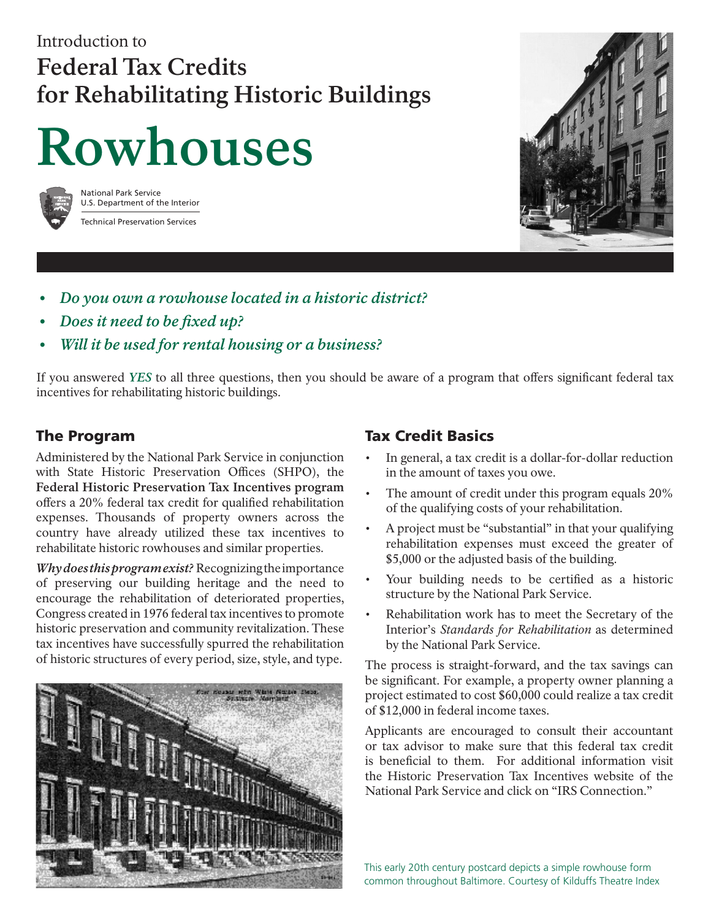### Introduction to **Federal Tax Credits for Rehabilitating Historic Buildings**

# **Rowhouses**



National Park Service U.S. Department of the Interior Technical Preservation Services



- *Do you own a rowhouse located in a historic district? •*
- *Does it need to be fixed up? •*
- *Will it be used for rental housing or a business? •*

If you answered *YES* to all three questions, then you should be aware of a program that offers significant federal tax incentives for rehabilitating historic buildings.

### The Program

Administered by the National Park Service in conjunction with State Historic Preservation Offices (SHPO), the **Federal Historic Preservation Tax Incentives program** offers a 20% federal tax credit for qualified rehabilitation expenses. Thousands of property owners across the country have already utilized these tax incentives to rehabilitate historic rowhouses and similar properties.

*Why does this program exist?* Recognizing the importance of preserving our building heritage and the need to encourage the rehabilitation of deteriorated properties, Congress created in 1976 federal tax incentives to promote historic preservation and community revitalization. These tax incentives have successfully spurred the rehabilitation of historic structures of every period, size, style, and type.



### Tax Credit Basics

- In general, a tax credit is a dollar-for-dollar reduction in the amount of taxes you owe. •
- The amount of credit under this program equals 20% of the qualifying costs of your rehabilitation. •
- A project must be "substantial" in that your qualifying rehabilitation expenses must exceed the greater of \$5,000 or the adjusted basis of the building. •
- Your building needs to be certified as a historic structure by the National Park Service. •
- Rehabilitation work has to meet the Secretary of the Interior's *Standards for Rehabilitation* as determined by the National Park Service. •

The process is straight-forward, and the tax savings can be significant. For example, a property owner planning a project estimated to cost \$60,000 could realize a tax credit of \$12,000 in federal income taxes.

Applicants are encouraged to consult their accountant or tax advisor to make sure that this federal tax credit is beneficial to them. For additional information visit the Historic Preservation Tax Incentives website of the National Park Service and click on "IRS Connection."

This early 20th century postcard depicts a simple rowhouse form common throughout Baltimore. Courtesy of Kilduffs Theatre Index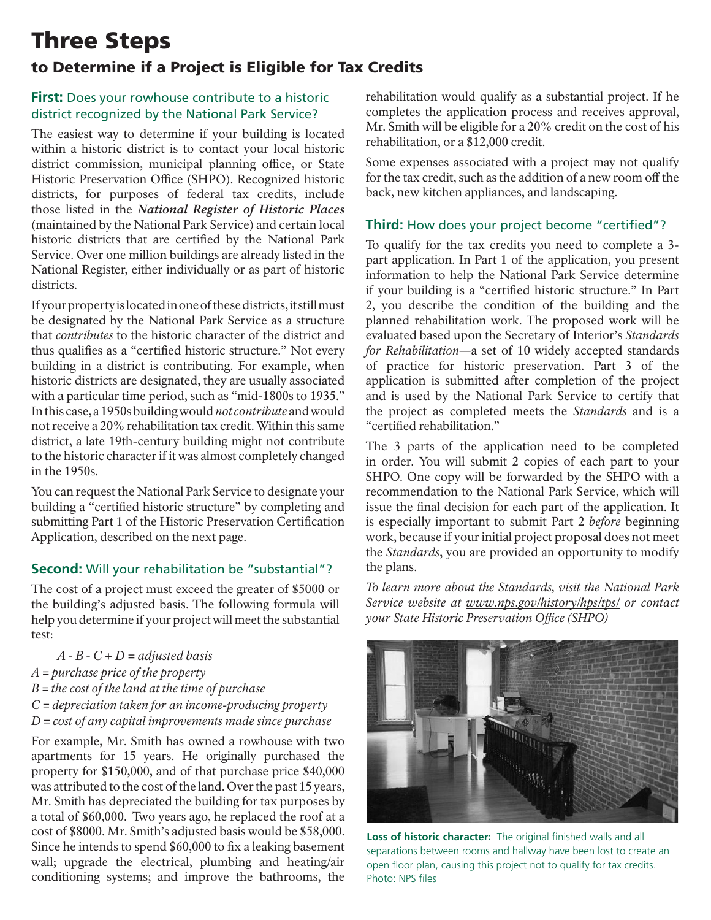### Three Steps

### to Determine if a Project is Eligible for Tax Credits

### **First:** Does your rowhouse contribute to a historic district recognized by the National Park Service?

The easiest way to determine if your building is located within a historic district is to contact your local historic district commission, municipal planning office, or State Historic Preservation Office (SHPO). Recognized historic districts, for purposes of federal tax credits, include those listed in the *National Register of Historic Places* (maintained by the National Park Service) and certain local historic districts that are certified by the National Park Service. Over one million buildings are already listed in the National Register, either individually or as part of historic districts.

If your property is located in one of these districts, it still must be designated by the National Park Service as a structure that *contributes* to the historic character of the district and thus qualifies as a "certified historic structure." Not every building in a district is contributing. For example, when historic districts are designated, they are usually associated with a particular time period, such as "mid-1800s to 1935." In this case, a 1950s building would *not contribute* and would not receive a 20% rehabilitation tax credit. Within this same district, a late 19th-century building might not contribute to the historic character if it was almost completely changed in the 1950s.

You can request the National Park Service to designate your building a "certified historic structure" by completing and submitting Part 1 of the Historic Preservation Certification Application, described on the next page.

### **Second:** Will your rehabilitation be "substantial"?

The cost of a project must exceed the greater of \$5000 or the building's adjusted basis. The following formula will help you determine if your project will meet the substantial test:

 *A - B - C + D = adjusted basis A = purchase price of the property B = the cost of the land at the time of purchase C = depreciation taken for an income-producing property D = cost of any capital improvements made since purchase*

For example, Mr. Smith has owned a rowhouse with two apartments for 15 years. He originally purchased the property for \$150,000, and of that purchase price \$40,000 was attributed to the cost of the land. Over the past 15 years, Mr. Smith has depreciated the building for tax purposes by a total of \$60,000. Two years ago, he replaced the roof at a cost of \$8000. Mr. Smith's adjusted basis would be \$58,000. Since he intends to spend \$60,000 to fix a leaking basement wall; upgrade the electrical, plumbing and heating/air conditioning systems; and improve the bathrooms, the

rehabilitation would qualify as a substantial project. If he completes the application process and receives approval, Mr. Smith will be eligible for a 20% credit on the cost of his rehabilitation, or a \$12,000 credit.

Some expenses associated with a project may not qualify for the tax credit, such as the addition of a new room off the back, new kitchen appliances, and landscaping.

### **Third:** How does your project become "certified"?

To qualify for the tax credits you need to complete a 3 part application. In Part 1 of the application, you present information to help the National Park Service determine if your building is a "certified historic structure." In Part 2, you describe the condition of the building and the planned rehabilitation work. The proposed work will be evaluated based upon the Secretary of Interior's *Standards for Rehabilitation*—a set of 10 widely accepted standards of practice for historic preservation. Part 3 of the application is submitted after completion of the project and is used by the National Park Service to certify that the project as completed meets the *Standards* and is a "certified rehabilitation."

The 3 parts of the application need to be completed in order. You will submit 2 copies of each part to your SHPO. One copy will be forwarded by the SHPO with a recommendation to the National Park Service, which will issue the final decision for each part of the application. It is especially important to submit Part 2 *before* beginning work, because if your initial project proposal does not meet the *Standards*, you are provided an opportunity to modify the plans.

*To learn more about the Standards, visit the National Park Service website at www.nps.gov/history/hps/tps/ or contact your State Historic Preservation Office (SHPO)*



**Loss of historic character:** The original finished walls and all separations between rooms and hallway have been lost to create an open floor plan, causing this project not to qualify for tax credits. Photo: NPS files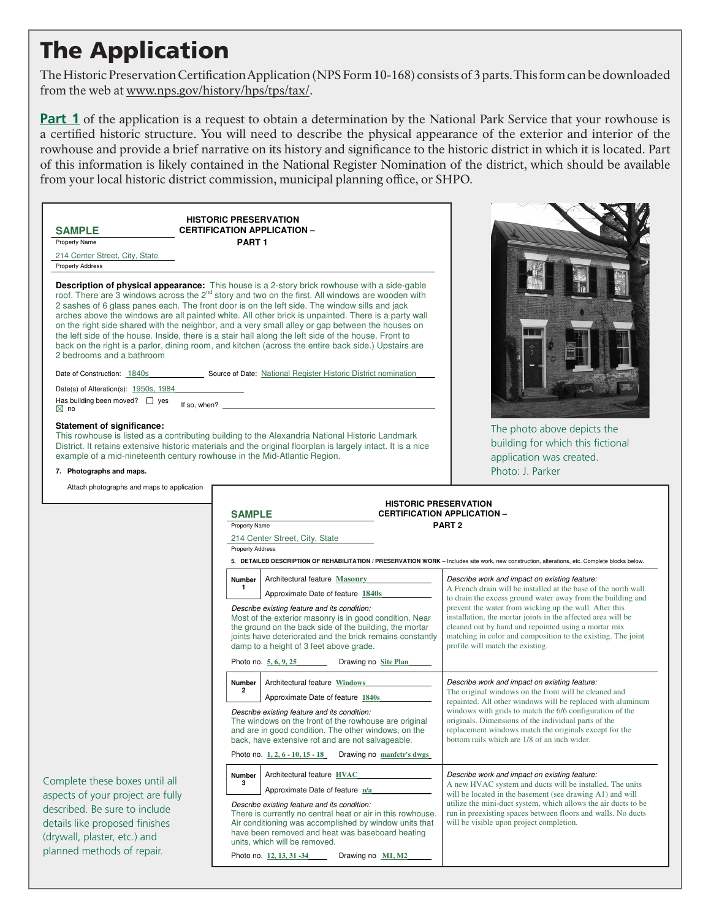### The Application

The Historic Preservation Certification Application (NPS Form 10-168) consists of 3 parts. This form can be downloaded from the web at www.nps.gov/history/hps/tps/tax/.

**Part 1** of the application is a request to obtain a determination by the National Park Service that your rowhouse is a certified historic structure. You will need to describe the physical appearance of the exterior and interior of the rowhouse and provide a brief narrative on its history and significance to the historic district in which it is located. Part of this information is likely contained in the National Register Nomination of the district, which should be available from your local historic district commission, municipal planning office, or SHPO.

**HISTORIC PRESERVATION SAMPLE CERTIFICATION APPLICATION –**<br> **Property Name** PART 1

214 Center Street, City, State Property Address

**Property Name** 

**Description of physical appearance:** This house is a 2-story brick rowhouse with a side-gable roof. There are 3 windows across the 2<sup>nd</sup> story and two on the first. All windows are wooden with 2 sashes of 6 glass panes each. The front door is on the left side. The window sills and jack arches above the windows are all painted white. All other brick is unpainted. There is a party wall on the right side shared with the neighbor, and a very small alley or gap between the houses on the left side of the house. Inside, there is a stair hall along the left side of the house. Front to back on the right is a parlor, dining room, and kitchen (across the entire back side.) Upstairs are 2 bedrooms and a bathroom

Date of Construction: 1840s Source of Date: National Register Historic District nomination

Date(s) of Alteration(s): 1950s, 1984

Has building been moved?  $\Box$  yes If so, when?

#### **Statement of significance:**

This rowhouse is listed as a contributing building to the Alexandria National Historic Landmark District. It retains extensive historic materials and the original floorplan is largely intact. It is a nice example of a mid-nineteenth century rowhouse in the Mid-Atlantic Region.



Attach photographs and maps to application

The photo above depicts the building for which this fictional application was created. Photo: J. Parker

| <b>HISTORIC PRESERVATION</b><br><b>CERTIFICATION APPLICATION -</b><br><b>SAMPLE</b>                                                                                                                                                                        |                                                                                                                                                                                                                                                                            |                                                                                                                                                                                                                                                                                           |  |
|------------------------------------------------------------------------------------------------------------------------------------------------------------------------------------------------------------------------------------------------------------|----------------------------------------------------------------------------------------------------------------------------------------------------------------------------------------------------------------------------------------------------------------------------|-------------------------------------------------------------------------------------------------------------------------------------------------------------------------------------------------------------------------------------------------------------------------------------------|--|
| Property Name                                                                                                                                                                                                                                              |                                                                                                                                                                                                                                                                            | PART <sub>2</sub>                                                                                                                                                                                                                                                                         |  |
|                                                                                                                                                                                                                                                            | 214 Center Street, City, State                                                                                                                                                                                                                                             |                                                                                                                                                                                                                                                                                           |  |
| <b>Property Address</b>                                                                                                                                                                                                                                    |                                                                                                                                                                                                                                                                            |                                                                                                                                                                                                                                                                                           |  |
|                                                                                                                                                                                                                                                            |                                                                                                                                                                                                                                                                            | 5. DETAILED DESCRIPTION OF REHABILITATION / PRESERVATION WORK - Includes site work, new construction, alterations, etc. Complete blocks below.                                                                                                                                            |  |
| <b>Number</b><br>1                                                                                                                                                                                                                                         | Architectural feature Masonry                                                                                                                                                                                                                                              | Describe work and impact on existing feature:<br>A French drain will be installed at the base of the north wall<br>to drain the excess ground water away from the building and                                                                                                            |  |
|                                                                                                                                                                                                                                                            | Approximate Date of feature 1840s                                                                                                                                                                                                                                          |                                                                                                                                                                                                                                                                                           |  |
|                                                                                                                                                                                                                                                            | Describe existing feature and its condition:<br>Most of the exterior masonry is in good condition. Near<br>the ground on the back side of the building, the mortar<br>joints have deteriorated and the brick remains constantly<br>damp to a height of 3 feet above grade. | prevent the water from wicking up the wall. After this<br>installation, the mortar joints in the affected area will be<br>cleaned out by hand and repointed using a mortar mix<br>matching in color and composition to the existing. The joint<br>profile will match the existing.        |  |
|                                                                                                                                                                                                                                                            | Photo no. 5, 6, 9, 25<br>Drawing no Site Plan                                                                                                                                                                                                                              |                                                                                                                                                                                                                                                                                           |  |
| <b>Number</b><br>$\mathbf{2}$                                                                                                                                                                                                                              | Architectural feature Windows                                                                                                                                                                                                                                              | Describe work and impact on existing feature:<br>The original windows on the front will be cleaned and                                                                                                                                                                                    |  |
|                                                                                                                                                                                                                                                            | Approximate Date of feature 1840s                                                                                                                                                                                                                                          |                                                                                                                                                                                                                                                                                           |  |
| Describe existing feature and its condition:<br>The windows on the front of the rowhouse are original<br>and are in good condition. The other windows, on the<br>back, have extensive rot and are not salvageable.                                         |                                                                                                                                                                                                                                                                            | repainted. All other windows will be replaced with aluminum<br>windows with grids to match the 6/6 configuration of the<br>originals. Dimensions of the individual parts of the<br>replacement windows match the originals except for the<br>bottom rails which are 1/8 of an inch wider. |  |
|                                                                                                                                                                                                                                                            | Photo no. 1, 2, 6 - 10, 15 - 18<br>Drawing no manfetr's dwgs                                                                                                                                                                                                               |                                                                                                                                                                                                                                                                                           |  |
| <b>Number</b><br>3                                                                                                                                                                                                                                         | Architectural feature HVAC                                                                                                                                                                                                                                                 | Describe work and impact on existing feature:<br>A new HVAC system and ducts will be installed. The units<br>will be located in the basement (see drawing A1) and will                                                                                                                    |  |
|                                                                                                                                                                                                                                                            | Approximate Date of feature n/a                                                                                                                                                                                                                                            |                                                                                                                                                                                                                                                                                           |  |
| Describe existing feature and its condition:<br>There is currently no central heat or air in this rowhouse.<br>Air conditioning was accomplished by window units that<br>have been removed and heat was baseboard heating<br>units, which will be removed. |                                                                                                                                                                                                                                                                            | utilize the mini-duct system, which allows the air ducts to be<br>run in preexisting spaces between floors and walls. No ducts<br>will be visible upon project completion.                                                                                                                |  |
|                                                                                                                                                                                                                                                            | Photo no. 12, 13, 31 -34<br>Drawing no M1, M2                                                                                                                                                                                                                              |                                                                                                                                                                                                                                                                                           |  |

Approximate Date of feature **<sup>1984</sup>** The roof will be patched and repaired as needed with

Complete these boxes until all aspects of your project are fully described. Be sure to include details like proposed finishes (drywall, plaster, etc.) and planned methods of repair.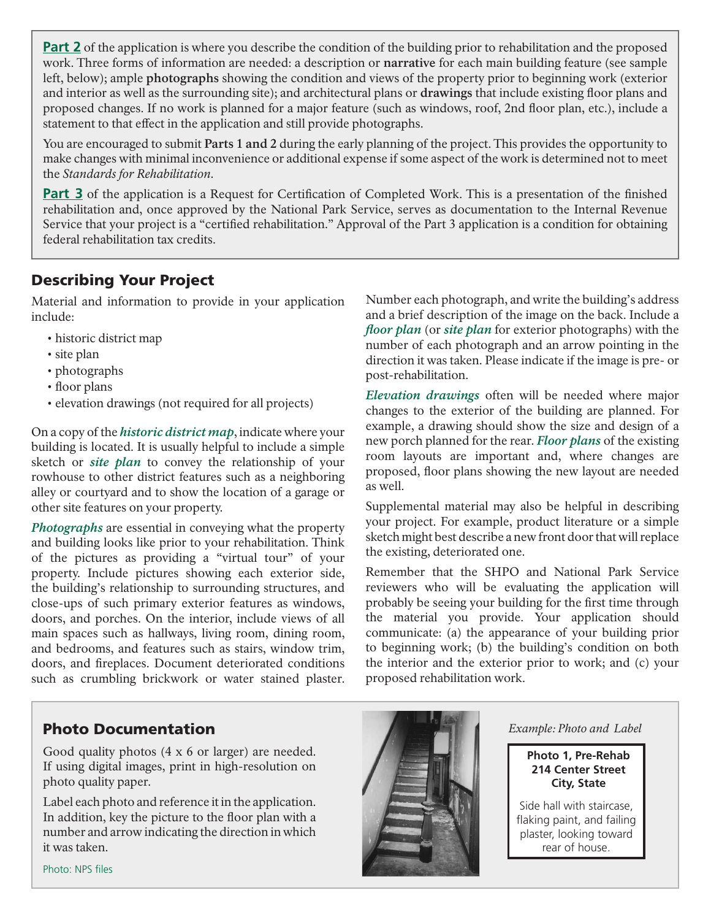**Part 2** of the application is where you describe the condition of the building prior to rehabilitation and the proposed work. Three forms of information are needed: a description or **narrative** for each main building feature (see sample left, below); ample **photographs** showing the condition and views of the property prior to beginning work (exterior and interior as well as the surrounding site); and architectural plans or **drawings** that include existing floor plans and proposed changes. If no work is planned for a major feature (such as windows, roof, 2nd floor plan, etc.), include a statement to that effect in the application and still provide photographs.

You are encouraged to submit **Parts 1 and 2** during the early planning of the project. This provides the opportunity to make changes with minimal inconvenience or additional expense if some aspect of the work is determined not to meet the *Standards for Rehabilitation.*

**Part 3** of the application is a Request for Certification of Completed Work. This is a presentation of the finished rehabilitation and, once approved by the National Park Service, serves as documentation to the Internal Revenue Service that your project is a "certified rehabilitation." Approval of the Part 3 application is a condition for obtaining federal rehabilitation tax credits.

### Describing Your Project

Material and information to provide in your application include:

- historic district map
- site plan
- photographs
- floor plans
- elevation drawings (not required for all projects)

On a copy of the *historic district map*, indicate where your building is located. It is usually helpful to include a simple sketch or *site plan* to convey the relationship of your rowhouse to other district features such as a neighboring alley or courtyard and to show the location of a garage or other site features on your property.

*Photographs* are essential in conveying what the property and building looks like prior to your rehabilitation. Think of the pictures as providing a "virtual tour" of your property. Include pictures showing each exterior side, the building's relationship to surrounding structures, and close-ups of such primary exterior features as windows, doors, and porches. On the interior, include views of all main spaces such as hallways, living room, dining room, and bedrooms, and features such as stairs, window trim, doors, and fireplaces. Document deteriorated conditions such as crumbling brickwork or water stained plaster.

Number each photograph, and write the building's address and a brief description of the image on the back. Include a *floor plan* (or *site plan* for exterior photographs) with the number of each photograph and an arrow pointing in the direction it was taken. Please indicate if the image is pre- or post-rehabilitation.

*Elevation drawings* often will be needed where major changes to the exterior of the building are planned. For example, a drawing should show the size and design of a new porch planned for the rear. *Floor plans* of the existing room layouts are important and, where changes are proposed, floor plans showing the new layout are needed as well.

Supplemental material may also be helpful in describing your project. For example, product literature or a simple sketch might best describe a new front door that will replace the existing, deteriorated one.

Remember that the SHPO and National Park Service reviewers who will be evaluating the application will probably be seeing your building for the first time through the material you provide. Your application should communicate: (a) the appearance of your building prior to beginning work; (b) the building's condition on both the interior and the exterior prior to work; and (c) your proposed rehabilitation work.

### Photo Documentation

Good quality photos (4 x 6 or larger) are needed. If using digital images, print in high-resolution on photo quality paper.

Label each photo and reference it in the application. In addition, key the picture to the floor plan with a number and arrow indicating the direction in which it was taken.



*Example: Photo and Label*

**Photo 1, Pre-Rehab 214 Center Street City, State**

Side hall with staircase, flaking paint, and failing plaster, looking toward rear of house.

Photo: NPS files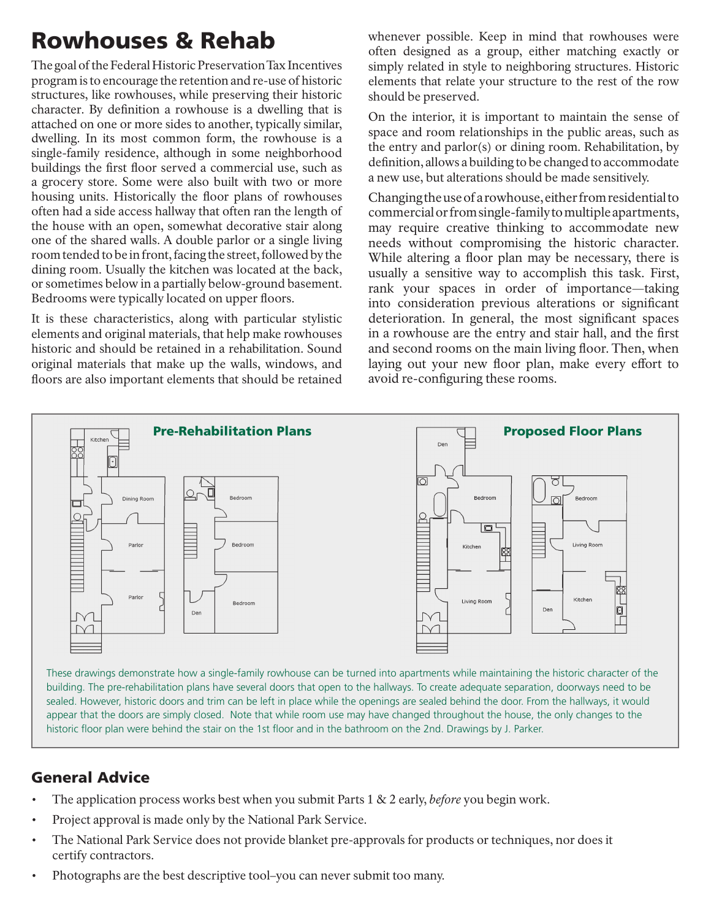## Rowhouses & Rehab

The goal of the Federal Historic Preservation Tax Incentives program is to encourage the retention and re-use of historic structures, like rowhouses, while preserving their historic character. By definition a rowhouse is a dwelling that is attached on one or more sides to another, typically similar, dwelling. In its most common form, the rowhouse is a single-family residence, although in some neighborhood buildings the first floor served a commercial use, such as a grocery store. Some were also built with two or more housing units. Historically the floor plans of rowhouses often had a side access hallway that often ran the length of the house with an open, somewhat decorative stair along one of the shared walls. A double parlor or a single living room tended to be in front, facing the street, followed by the dining room. Usually the kitchen was located at the back, or sometimes below in a partially below-ground basement. Bedrooms were typically located on upper floors.

It is these characteristics, along with particular stylistic elements and original materials, that help make rowhouses historic and should be retained in a rehabilitation. Sound original materials that make up the walls, windows, and floors are also important elements that should be retained whenever possible. Keep in mind that rowhouses were often designed as a group, either matching exactly or simply related in style to neighboring structures. Historic elements that relate your structure to the rest of the row should be preserved.

On the interior, it is important to maintain the sense of space and room relationships in the public areas, such as the entry and parlor(s) or dining room. Rehabilitation, by definition, allows a building to be changed to accommodate a new use, but alterations should be made sensitively.

Changing the use of a rowhouse, either from residential to commercial or from single-family to multiple apartments, may require creative thinking to accommodate new needs without compromising the historic character. While altering a floor plan may be necessary, there is usually a sensitive way to accomplish this task. First, rank your spaces in order of importance—taking into consideration previous alterations or significant deterioration. In general, the most significant spaces in a rowhouse are the entry and stair hall, and the first and second rooms on the main living floor. Then, when laying out your new floor plan, make every effort to avoid re-configuring these rooms.



These drawings demonstrate how a single-family rowhouse can be turned into apartments while maintaining the historic character of the building. The pre-rehabilitation plans have several doors that open to the hallways. To create adequate separation, doorways need to be sealed. However, historic doors and trim can be left in place while the openings are sealed behind the door. From the hallways, it would appear that the doors are simply closed. Note that while room use may have changed throughout the house, the only changes to the historic floor plan were behind the stair on the 1st floor and in the bathroom on the 2nd. Drawings by J. Parker.

### General Advice

- The application process works best when you submit Parts 1 & 2 early, *before* you begin work. •
- Project approval is made only by the National Park Service. •
- The National Park Service does not provide blanket pre-approvals for products or techniques, nor does it certify contractors. •
- Photographs are the best descriptive tool–you can never submit too many. •